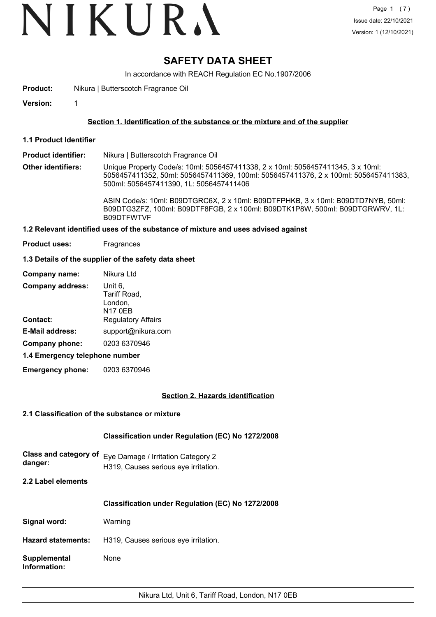# VIKURA

# **SAFETY DATA SHEET**

In accordance with REACH Regulation EC No.1907/2006

**Product:** Nikura | Butterscotch Fragrance Oil

**Version:** 1

## **Section 1. Identification of the substance or the mixture and of the supplier**

**1.1 Product Identifier**

**Product identifier:** Nikura | Butterscotch Fragrance Oil

**Other identifiers:** Unique Property Code/s: 10ml: 5056457411338, 2 x 10ml: 5056457411345, 3 x 10ml: 5056457411352, 50ml: 5056457411369, 100ml: 5056457411376, 2 x 100ml: 5056457411383, 500ml: 5056457411390, 1L: 5056457411406

> ASIN Code/s: 10ml: B09DTGRC6X, 2 x 10ml: B09DTFPHKB, 3 x 10ml: B09DTD7NYB, 50ml: B09DTG3ZFZ, 100ml: B09DTF8FGB, 2 x 100ml: B09DTK1P8W, 500ml: B09DTGRWRV, 1L: B09DTFWTVF

#### **1.2 Relevant identified uses of the substance of mixture and uses advised against**

**Product uses:** Fragrances

# **1.3 Details of the supplier of the safety data sheet**

| Company name:                              | Nikura Ltd                                                                        |
|--------------------------------------------|-----------------------------------------------------------------------------------|
| <b>Company address:</b><br><b>Contact:</b> | Unit 6,<br>Tariff Road,<br>London,<br><b>N17 0EB</b><br><b>Regulatory Affairs</b> |
| <b>E-Mail address:</b>                     | support@nikura.com                                                                |
| Company phone:                             | 0203 6370946                                                                      |
| 1.4 Emergency telephone number             |                                                                                   |

**1.4 Emergency telephone number**

**Emergency phone:** 0203 6370946

## **Section 2. Hazards identification**

## **2.1 Classification of the substance or mixture**

# **Classification under Regulation (EC) No 1272/2008**

| danger: | Class and category of Eve Damage / Irritation Category 2 |
|---------|----------------------------------------------------------|
|         | H319, Causes serious eye irritation.                     |

**2.2 Label elements**

## **Classification under Regulation (EC) No 1272/2008**

**Signal word:** Warning

**Hazard statements:** H319, Causes serious eye irritation.

**Supplemental** None **Information:**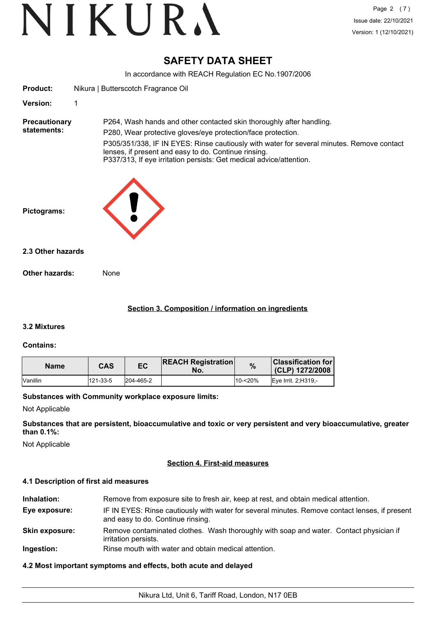# **SAFETY DATA SHEET**

In accordance with REACH Regulation EC No.1907/2006

| <b>Product:</b>                     | Nikura   Butterscotch Fragrance Oil                                                                                                                                                                                                                                                                                                                              |  |
|-------------------------------------|------------------------------------------------------------------------------------------------------------------------------------------------------------------------------------------------------------------------------------------------------------------------------------------------------------------------------------------------------------------|--|
| <b>Version:</b>                     | 1                                                                                                                                                                                                                                                                                                                                                                |  |
| <b>Precautionary</b><br>statements: | P264, Wash hands and other contacted skin thoroughly after handling.<br>P280, Wear protective gloves/eye protection/face protection.<br>P305/351/338, IF IN EYES: Rinse cautiously with water for several minutes. Remove contact<br>lenses, if present and easy to do. Continue rinsing.<br>P337/313, If eye irritation persists: Get medical advice/attention. |  |
| Pictograms:                         |                                                                                                                                                                                                                                                                                                                                                                  |  |
| 2.3 Other hazards                   |                                                                                                                                                                                                                                                                                                                                                                  |  |
| Other hazards:                      | None                                                                                                                                                                                                                                                                                                                                                             |  |
|                                     |                                                                                                                                                                                                                                                                                                                                                                  |  |

# **Section 3. Composition / information on ingredients**

## **3.2 Mixtures**

## **Contains:**

| <b>Name</b>     | <b>CAS</b> | EC        | <b>REACH Registration</b><br>No. | %          | <b>Classification for</b><br>(CLP) 1272/2008 |
|-----------------|------------|-----------|----------------------------------|------------|----------------------------------------------|
| <b>Vanillin</b> | 121-33-5   | 204-465-2 |                                  | $10 - 20%$ | <b>IEve Irrit. 2:H319.-</b>                  |

## **Substances with Community workplace exposure limits:**

Not Applicable

**Substances that are persistent, bioaccumulative and toxic or very persistent and very bioaccumulative, greater than 0.1%:**

Not Applicable

# **Section 4. First-aid measures**

## **4.1 Description of first aid measures**

| Inhalation:           | Remove from exposure site to fresh air, keep at rest, and obtain medical attention.                                                 |
|-----------------------|-------------------------------------------------------------------------------------------------------------------------------------|
| Eye exposure:         | IF IN EYES: Rinse cautiously with water for several minutes. Remove contact lenses, if present<br>and easy to do. Continue rinsing. |
| <b>Skin exposure:</b> | Remove contaminated clothes. Wash thoroughly with soap and water. Contact physician if<br>irritation persists.                      |
| Ingestion:            | Rinse mouth with water and obtain medical attention.                                                                                |

# **4.2 Most important symptoms and effects, both acute and delayed**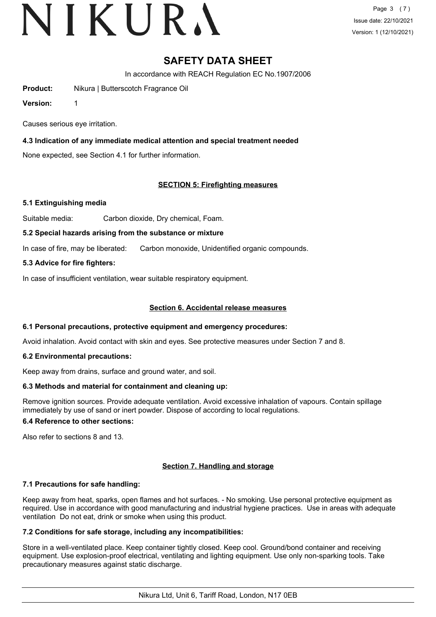# VIKURA

Page 3 (7) Issue date: 22/10/2021 Version: 1 (12/10/2021)

# **SAFETY DATA SHEET**

In accordance with REACH Regulation EC No.1907/2006

**Product:** Nikura | Butterscotch Fragrance Oil

**Version:** 1

Causes serious eye irritation.

# **4.3 Indication of any immediate medical attention and special treatment needed**

None expected, see Section 4.1 for further information.

# **SECTION 5: Firefighting measures**

## **5.1 Extinguishing media**

Suitable media: Carbon dioxide, Dry chemical, Foam.

## **5.2 Special hazards arising from the substance or mixture**

In case of fire, may be liberated: Carbon monoxide, Unidentified organic compounds.

# **5.3 Advice for fire fighters:**

In case of insufficient ventilation, wear suitable respiratory equipment.

# **Section 6. Accidental release measures**

## **6.1 Personal precautions, protective equipment and emergency procedures:**

Avoid inhalation. Avoid contact with skin and eyes. See protective measures under Section 7 and 8.

## **6.2 Environmental precautions:**

Keep away from drains, surface and ground water, and soil.

## **6.3 Methods and material for containment and cleaning up:**

Remove ignition sources. Provide adequate ventilation. Avoid excessive inhalation of vapours. Contain spillage immediately by use of sand or inert powder. Dispose of according to local regulations.

## **6.4 Reference to other sections:**

Also refer to sections 8 and 13.

## **Section 7. Handling and storage**

## **7.1 Precautions for safe handling:**

Keep away from heat, sparks, open flames and hot surfaces. - No smoking. Use personal protective equipment as required. Use in accordance with good manufacturing and industrial hygiene practices. Use in areas with adequate ventilation Do not eat, drink or smoke when using this product.

## **7.2 Conditions for safe storage, including any incompatibilities:**

Store in a well-ventilated place. Keep container tightly closed. Keep cool. Ground/bond container and receiving equipment. Use explosion-proof electrical, ventilating and lighting equipment. Use only non-sparking tools. Take precautionary measures against static discharge.

Nikura Ltd, Unit 6, Tariff Road, London, N17 0EB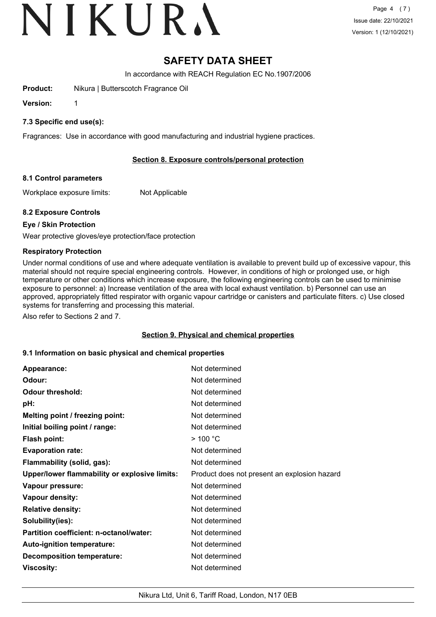# VIKURA

# **SAFETY DATA SHEET**

In accordance with REACH Regulation EC No.1907/2006

**Product:** Nikura | Butterscotch Fragrance Oil

**Version:** 1

# **7.3 Specific end use(s):**

Fragrances: Use in accordance with good manufacturing and industrial hygiene practices.

# **Section 8. Exposure controls/personal protection**

## **8.1 Control parameters**

Workplace exposure limits: Not Applicable

# **8.2 Exposure Controls**

# **Eye / Skin Protection**

Wear protective gloves/eye protection/face protection

# **Respiratory Protection**

Under normal conditions of use and where adequate ventilation is available to prevent build up of excessive vapour, this material should not require special engineering controls. However, in conditions of high or prolonged use, or high temperature or other conditions which increase exposure, the following engineering controls can be used to minimise exposure to personnel: a) Increase ventilation of the area with local exhaust ventilation. b) Personnel can use an approved, appropriately fitted respirator with organic vapour cartridge or canisters and particulate filters. c) Use closed systems for transferring and processing this material.

Also refer to Sections 2 and 7.

## **Section 9. Physical and chemical properties**

## **9.1 Information on basic physical and chemical properties**

| Appearance:                                          | Not determined                               |
|------------------------------------------------------|----------------------------------------------|
| Odour:                                               | Not determined                               |
| <b>Odour threshold:</b>                              | Not determined                               |
| pH:                                                  | Not determined                               |
| Melting point / freezing point:                      | Not determined                               |
| Initial boiling point / range:                       | Not determined                               |
| <b>Flash point:</b>                                  | $>$ 100 °C                                   |
| <b>Evaporation rate:</b>                             | Not determined                               |
| Flammability (solid, gas):                           | Not determined                               |
| <b>Upper/lower flammability or explosive limits:</b> | Product does not present an explosion hazard |
| Vapour pressure:                                     | Not determined                               |
| Vapour density:                                      | Not determined                               |
| <b>Relative density:</b>                             | Not determined                               |
| Solubility(ies):                                     | Not determined                               |
| Partition coefficient: n-octanol/water:              | Not determined                               |
| Auto-ignition temperature:                           | Not determined                               |
| <b>Decomposition temperature:</b>                    | Not determined                               |
| Viscosity:                                           | Not determined                               |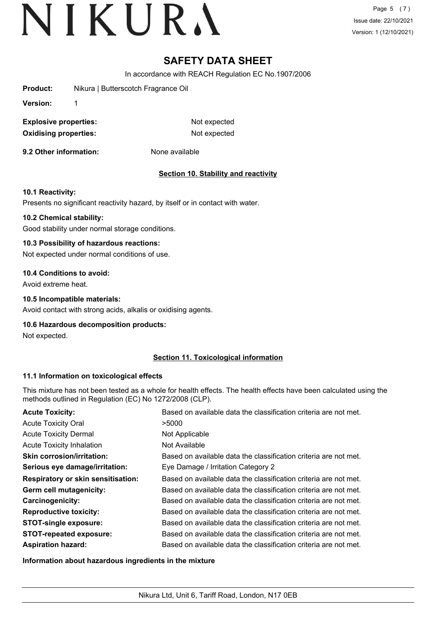Page 5 (7) Issue date: 22/10/2021 Version: 1 (12/10/2021)

# **SAFETY DATA SHEET**

In accordance with REACH Regulation EC No.1907/2006

**Product:** Nikura | Butterscotch Fragrance Oil

**Version:** 1

**Explosive properties:** Not expected **Oxidising properties:** Not expected

**9.2 Other information:** None available

# **Section 10. Stability and reactivity**

## **10.1 Reactivity:**

Presents no significant reactivity hazard, by itself or in contact with water.

#### **10.2 Chemical stability:**

Good stability under normal storage conditions.

## **10.3 Possibility of hazardous reactions:**

Not expected under normal conditions of use.

#### **10.4 Conditions to avoid:**

Avoid extreme heat.

#### **10.5 Incompatible materials:**

Avoid contact with strong acids, alkalis or oxidising agents.

## **10.6 Hazardous decomposition products:**

Not expected.

## **Section 11. Toxicological information**

## **11.1 Information on toxicological effects**

This mixture has not been tested as a whole for health effects. The health effects have been calculated using the methods outlined in Regulation (EC) No 1272/2008 (CLP).

| <b>Acute Toxicity:</b>                    | Based on available data the classification criteria are not met. |
|-------------------------------------------|------------------------------------------------------------------|
| <b>Acute Toxicity Oral</b>                | >5000                                                            |
| <b>Acute Toxicity Dermal</b>              | Not Applicable                                                   |
| <b>Acute Toxicity Inhalation</b>          | Not Available                                                    |
| <b>Skin corrosion/irritation:</b>         | Based on available data the classification criteria are not met. |
| Serious eye damage/irritation:            | Eye Damage / Irritation Category 2                               |
| <b>Respiratory or skin sensitisation:</b> | Based on available data the classification criteria are not met. |
| Germ cell mutagenicity:                   | Based on available data the classification criteria are not met. |
| <b>Carcinogenicity:</b>                   | Based on available data the classification criteria are not met. |
| <b>Reproductive toxicity:</b>             | Based on available data the classification criteria are not met. |
| <b>STOT-single exposure:</b>              | Based on available data the classification criteria are not met. |
| <b>STOT-repeated exposure:</b>            | Based on available data the classification criteria are not met. |
| <b>Aspiration hazard:</b>                 | Based on available data the classification criteria are not met. |

**Information about hazardous ingredients in the mixture**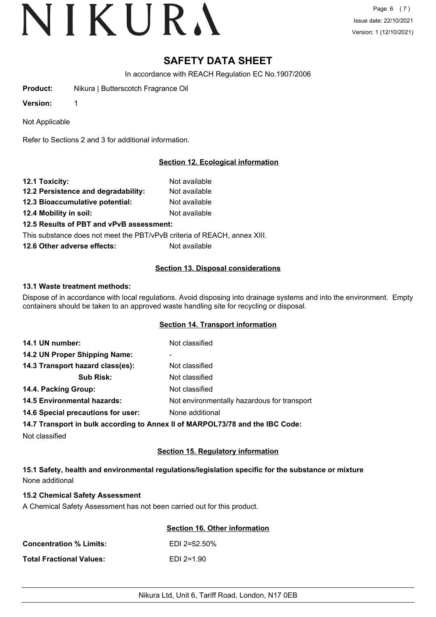Page 6 (7) Issue date: 22/10/2021 Version: 1 (12/10/2021)

# **SAFETY DATA SHEET**

In accordance with REACH Regulation EC No.1907/2006

**Product:** Nikura | Butterscotch Fragrance Oil

**Version:** 1

Not Applicable

Refer to Sections 2 and 3 for additional information.

# **Section 12. Ecological information**

| 12.1 Toxicity:                           | Not available |
|------------------------------------------|---------------|
| 12.2 Persistence and degradability:      | Not available |
| 12.3 Bioaccumulative potential:          | Not available |
| 12.4 Mobility in soil:                   | Not available |
| 12.5 Results of PBT and vPvB assessment: |               |

This substance does not meet the PBT/vPvB criteria of REACH, annex XIII.

**12.6 Other adverse effects:** Not available

# **Section 13. Disposal considerations**

# **13.1 Waste treatment methods:**

Dispose of in accordance with local regulations. Avoid disposing into drainage systems and into the environment. Empty containers should be taken to an approved waste handling site for recycling or disposal.

## **Section 14. Transport information**

| 14.1 UN number:                    | Not classified                                                                |
|------------------------------------|-------------------------------------------------------------------------------|
| 14.2 UN Proper Shipping Name:      | ۰                                                                             |
| 14.3 Transport hazard class(es):   | Not classified                                                                |
| <b>Sub Risk:</b>                   | Not classified                                                                |
| 14.4. Packing Group:               | Not classified                                                                |
| <b>14.5 Environmental hazards:</b> | Not environmentally hazardous for transport                                   |
| 14.6 Special precautions for user: | None additional                                                               |
|                                    | 14.7 Transport in bulk according to Annex II of MARPOL73/78 and the IBC Code: |
| Not classified                     |                                                                               |

# **Section 15. Regulatory information**

**15.1 Safety, health and environmental regulations/legislation specific for the substance or mixture** None additional

## **15.2 Chemical Safety Assessment**

A Chemical Safety Assessment has not been carried out for this product.

|                                | Section 16. Other information |
|--------------------------------|-------------------------------|
| <b>Concentration % Limits:</b> | $EDI$ 2=52.50%                |
| Total Fractional Values:       | $EDI$ 2=1.90                  |